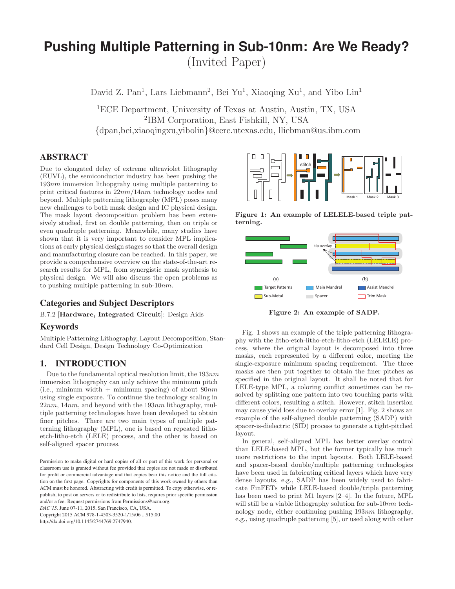# **Pushing Multiple Patterning in Sub-10nm: Are We Ready?** (Invited Paper)

David Z. Pan<sup>1</sup>, Lars Liebmann<sup>2</sup>, Bei Yu<sup>1</sup>, Xiaoqing Xu<sup>1</sup>, and Yibo Lin<sup>1</sup>

<sup>1</sup>ECE Department, University of Texas at Austin, Austin, TX, USA <sup>2</sup>IBM Corporation, East Fishkill, NY, USA {dpan,bei,xiaoqingxu,yibolin}@cerc.utexas.edu, lliebman@us.ibm.com

## ABSTRACT

Due to elongated delay of extreme ultraviolet lithography (EUVL), the semiconductor industry has been pushing the 193nm immersion lithopgrahy using multiple patterning to print critical features in 22nm/14nm technology nodes and beyond. Multiple patterning lithography (MPL) poses many new challenges to both mask design and IC physical design. The mask layout decomposition problem has been extensively studied, first on double patterning, then on triple or even quadruple patterning. Meanwhile, many studies have shown that it is very important to consider MPL implications at early physical design stages so that the overall design and manufacturing closure can be reached. In this paper, we provide a comprehensive overview on the state-of-the-art research results for MPL, from synergistic mask synthesis to physical design. We will also discuss the open problems as to pushing multiple patterning in sub-10nm.

#### Categories and Subject Descriptors

B.7.2 [**Hardware, Integrated Circuit**]: Design Aids

#### Keywords

Multiple Patterning Lithography, Layout Decomposition, Standard Cell Design, Design Technology Co-Optimization

# 1. INTRODUCTION

Due to the fundamental optical resolution limit, the  $193nm$ immersion lithography can only achieve the minimum pitch (i.e., mininum width + minimum spacing) of about  $80nm$ using single exposure. To continue the technology scaling in  $22nm$ ,  $14nm$ , and beyond with the  $193nm$  lithography, multiple patterning technologies have been developed to obtain finer pitches. There are two main types of multiple patterning lithography (MPL), one is based on repeated lithoetch-litho-etch (LELE) process, and the other is based on self-aligned spacer process.

Permission to make digital or hard copies of all or part of this work for personal or classroom use is granted without fee provided that copies are not made or distributed for profit or commercial advantage and that copies bear this notice and the full citation on the first page. Copyrights for components of this work owned by others than ACM must be honored. Abstracting with credit is permitted. To copy otherwise, or republish, to post on servers or to redistribute to lists, requires prior specific permission and/or a fee. Request permissions from Permissions@acm.org.

*DAC'15,* June 07-11, 2015, San Francisco, CA, USA.

Copyright 2015 ACM 978-1-4503-3520-1/15/06 ...\$15.00

http://dx.doi.org/10.1145/2744769.2747940.



**Figure 1: An example of LELELE-based triple patterning.**



**Figure 2: An example of SADP.**

Fig. 1 shows an example of the triple patterning lithography with the litho-etch-litho-etch-litho-etch (LELELE) process, where the original layout is decomposed into three masks, each represented by a different color, meeting the single-exposure minimum spacing requirement. The three masks are then put together to obtain the finer pitches as specified in the original layout. It shall be noted that for LELE-type MPL, a coloring conflict sometimes can be resolved by splitting one pattern into two touching parts with different colors, resulting a stitch. However, stitch insertion may cause yield loss due to overlay error [1]. Fig. 2 shows an example of the self-aligned double patterning (SADP) with spacer-is-dielectric (SID) process to generate a tight-pitched layout.

In general, self-aligned MPL has better overlay control than LELE-based MPL, but the former typically has much more restrictions to the input layouts. Both LELE-based and spacer-based double/multiple patterning technologies have been used in fabricating critical layers which have very dense layouts, e.g., SADP has been widely used to fabricate FinFETs while LELE-based double/triple patterning has been used to print M1 layers [2–4]. In the future, MPL will still be a viable lithography solution for sub-10nm technology node, either continuing pushing 193nm lithography, e.g., using quadruple patterning [5], or used along with other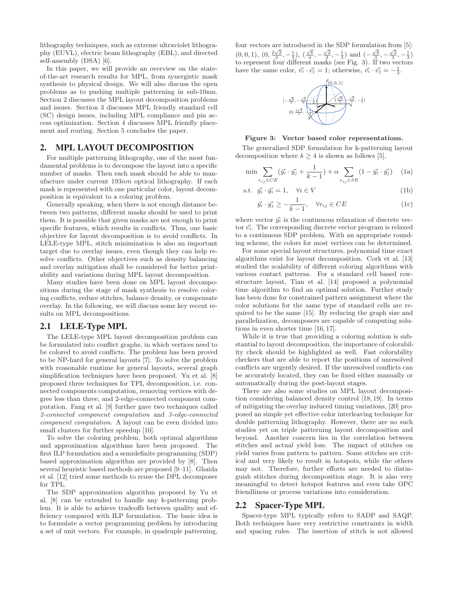lithography techniques, such as extreme ultraviolet lithography (EUVL), electric beam lithography (EBL), and directed self-assembly (DSA) [6].

In this paper, we will provide an overview on the stateof-the-art research results for MPL, from synergistic mask synthesis to physical design. We will also discuss the open problems as to pushing multiple patterning in sub-10nm. Section 2 discusses the MPL layout decomposition problems and issues. Section 3 discusses MPL friendly standard cell (SC) design issues, including MPL compliance and pin access optimization. Section 4 discusses MPL friendly placement and routing. Section 5 concludes the paper.

## 2. MPL LAYOUT DECOMPOSITION

For multiple patterning lithography, one of the most fundamental problems is to decompose the layout into a specific number of masks. Then each mask should be able to manufacture under current  $193nm$  optical lithography. If each mask is represented with one particular color, layout decomposition is equivalent to a coloring problem.

Generally speaking, when there is not enough distance between two patterns, different masks should be used to print them. It is possible that given masks are not enough to print specific features, which results in conflicts. Thus, one basic objective for layout decomposition is to avoid conflicts. In LELE-type MPL, stitch minimization is also an important target due to overlay issues, even though they can help resolve conflicts. Other objectives such as density balancing and overlay mitigation shall be considered for better printability and variations during MPL layout decomposition.

Many studies have been done on MPL layout decompositions during the stage of mask synthesis to resolve coloring conflicts, reduce stitches, balance density, or compensate overlay. In the following, we will discuss some key recent results on MPL decompositions.

#### 2.1 LELE-Type MPL

The LELE-type MPL layout decomposition problem can be formulated into conflict graphs, in which vertices need to be colored to avoid conflicts. The problem has been proved to be NP-hard for general layouts [7]. To solve the problem with reasonable runtime for general layouts, several graph simplification techniques have been proposed. Yu et al. [8] proposed three techniques for TPL decomposition, i.e. connected components computation, removing vertices with degree less than three, and 2-edge-connected component computation. Fang et al. [9] further gave two techniques called 2-connected component computation and 3-edge-connected component computation. A layout can be even divided into small clusters for further speedup [10].

To solve the coloring problem, both optimal algorithms and approximation algorithms have been proposed. The first ILP formulation and a semidefinite programming (SDP) based approximation algorithm are provided by [8]. Then several heuristic based methods are proposed [9–11]. Ghaida et al. [12] tried some methods to reuse the DPL decomposer for TPL.

The SDP approximation algorithm proposed by Yu et al. [8] can be extended to handle any k-patterning problem. It is able to achieve tradeoffs between quality and efficiency compared with ILP formulation. The basic idea is to formulate a vector programming problem by introducing a set of unit vectors. For example, in quadruple patterning,

four vectors are introduced in the SDP formulation from [5]:  $(0, 0, 1), (0, \frac{2\sqrt{2}}{3}, -\frac{1}{3}), (\frac{\sqrt{6}}{3}, -\frac{\sqrt{2}}{3}, -\frac{1}{3})$  and  $(-\frac{\sqrt{6}}{3}, -\frac{\sqrt{2}}{3}, -\frac{1}{3})$ <br>to represent four different masks (see Fig. 3). If two vectors have the same color,  $\vec{v_i} \cdot \vec{v_j} = 1$ ; otherwise,  $\vec{v_i} \cdot \vec{v_j} = -\frac{1}{3}$ .



#### **Figure 3: Vector based color representations.**

The generalized SDP formulation for k-patterning layout decomposition where  $k \geq 4$  is shown as follows [5],

$$
\min \sum_{e_{ij} \in CE} (\vec{y_i} \cdot \vec{y_j} + \frac{1}{k-1}) + \alpha \sum_{e_{ij} \in SE} (1 - \vec{y_i} \cdot \vec{y_j}) \quad (1a)
$$

$$
\text{s.t. } \vec{y_i} \cdot \vec{y_i} = 1, \quad \forall i \in V \tag{1b}
$$

$$
\vec{y_i} \cdot \vec{y_j} \ge -\frac{1}{k-1}, \quad \forall e_{ij} \in CE \tag{1c}
$$

where vector  $\vec{y_i}$  is the continuous relaxation of discrete vector  $\vec{v_i}$ . The corresponding discrete vector program is relaxed to a continuous SDP problem. With an appropriate rounding scheme, the colors for most vertices can be determined.

For some special layout structures, polynomial time exact algorithms exist for layout decomposition. Cork et al. [13] studied the scalability of different coloring algorithms with various contact patterns. For a standard cell based rowstructure layout, Tian et al. [14] proposed a polynomial time algorithm to find an optimal solution. Further study has been done for constrained pattern assignment where the color solutions for the same type of standard cells are required to be the same [15]. By reducing the graph size and parallelization, decomposers are capable of computing solutions in even shorter time [16, 17].

While it is true that providing a coloring solution is substantial to layout decomposition, the importance of colorability check should be highlighted as well. Fast colorability checkers that are able to report the positions of unresolved conflicts are urgently desired. If the unresolved conflicts can be accurately located, they can be fixed either manually or automatically during the post-layout stages.

There are also some studies on MPL layout decomposition considering balanced density control [18, 19]. In terms of mitigating the overlay induced timing variations, [20] proposed an simple yet effective color interleaving technique for double patterning lithography. However, there are no such studies yet on triple patterning layout decomposition and beyond. Another concern lies in the correlation between stitches and actual yield loss. The impact of stitches on yield varies from pattern to pattern. Some stitches are critical and very likely to result in hotspots, while the others may not. Therefore, further efforts are needed to distinguish stitches during decomposition stage. It is also very meaningful to detect hotspot features and even take OPC friendliness or process variations into consideration.

#### 2.2 Spacer-Type MPL

Spacer-type MPL typically refers to SADP and SAQP. Both techniques have very restrictive constraints in width and spacing rules. The insertion of stitch is not allowed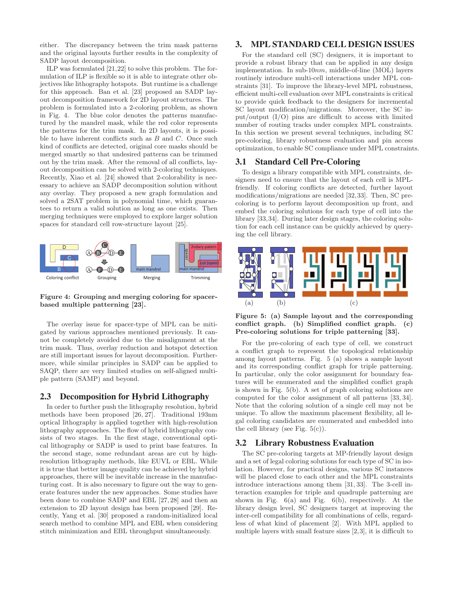either. The discrepancy between the trim mask patterns and the original layouts further results in the complexity of SADP layout decomposition.

ILP was formulated [21,22] to solve this problem. The formulation of ILP is flexible so it is able to integrate other objectives like lithography hotspots. But runtime is a challenge for this approach. Ban et al. [23] proposed an SADP layout decomposition framework for 2D layout structures. The problem is formulated into a 2-coloring problem, as shown in Fig. 4. The blue color denotes the patterns manufactured by the mandrel mask, while the red color represents the patterns for the trim mask. In 2D layouts, it is possible to have inherent conflicts such as  $B$  and  $C$ . Once such kind of conflicts are detected, original core masks should be merged smartly so that undesired patterns can be trimmed out by the trim mask. After the removal of all conflicts, layout decomposition can be solved with 2-coloring techniques. Recently, Xiao et al. [24] showed that 2-colorability is necessary to achieve an SADP decomposition solution without any overlay. They proposed a new graph formulation and solved a 2SAT problem in polynomial time, which guarantees to return a valid solution as long as one exists. Then merging techniques were employed to explore larger solution spaces for standard cell row-structure layout [25].



**Figure 4: Grouping and merging coloring for spacerbased multiple patterning [23].**

The overlay issue for spacer-type of MPL can be mitigated by various approaches mentioned previously. It cannot be completely avoided due to the misalignment at the trim mask. Thus, overlay reduction and hotspot detection are still important issues for layout decomposition. Furthermore, while similar principles in SADP can be applied to SAQP, there are very limited studies on self-aligned multiple pattern (SAMP) and beyond.

## 2.3 Decomposition for Hybrid Lithography

In order to further push the lithography resolution, hybrid methods have been proposed [26, 27]. Traditional 193nm optical lithography is applied together with high-resolution lithography approaches. The flow of hybrid lithography consists of two stages. In the first stage, conventional optical lithography or SADP is used to print base features. In the second stage, some redundant areas are cut by highresolution lithography methods, like EUVL or EBL. While it is true that better image quality can be achieved by hybrid approaches, there will be inevitable increase in the manufacturing cost. It is also necessary to figure out the way to generate features under the new approaches. Some studies have been done to combine SADP and EBL [27, 28] and then an extension to 2D layout design has been proposed [29]. Recently, Yang et al. [30] proposed a random-initialized local search method to combine MPL and EBL when considering stitch minimization and EBL throughput simultaneously.

## 3. MPL STANDARD CELL DESIGN ISSUES

For the standard cell (SC) designers, it is important to provide a robust library that can be applied in any design implementation. In sub-10nm, middle-of-line (MOL) layers routinely introduce multi-cell interactions under MPL constraints [31]. To improve the library-level MPL robustness, efficient multi-cell evaluation over MPL constraints is critical to provide quick feedback to the designers for incremental SC layout modification/migrations. Moreover, the SC input/output (I/O) pins are difficult to access with limited number of routing tracks under complex MPL constraints. In this section we present several techniques, including SC pre-coloring, library robustness evaluation and pin access optimization, to enable SC compliance under MPL constraints.

#### 3.1 Standard Cell Pre-Coloring

To design a library compatible with MPL constraints, designers need to ensure that the layout of each cell is MPLfriendly. If coloring conflicts are detected, further layout modifications/migrations are needed [32, 33]. Then, SC precoloring is to perform layout decomposition up front, and embed the coloring solutions for each type of cell into the library [33,34]. During later design stages, the coloring solution for each cell instance can be quickly achieved by querying the cell library.



**Figure 5: (a) Sample layout and the corresponding conflict graph. (b) Simplified conflict graph. (c) Pre-coloring solutions for triple patterning [33].**

For the pre-coloring of each type of cell, we construct a conflict graph to represent the topological relationship among layout patterns. Fig. 5 (a) shows a sample layout and its corresponding conflict graph for triple patterning. In particular, only the color assignment for boundary features will be enumerated and the simplified conflict graph is shown in Fig. 5(b). A set of graph coloring solutions are computed for the color assignment of all patterns [33, 34]. Note that the coloring solution of a single cell may not be unique. To allow the maximum placement flexibility, all legal coloring candidates are enumerated and embedded into the cell library (see Fig.  $5(c)$ ).

#### 3.2 Library Robustness Evaluation

The SC pre-coloring targets at MP-friendly layout design and a set of legal coloring solutions for each type of SC in isolation. However, for practical designs, various SC instances will be placed close to each other and the MPL constraints introduce interactions among them [31, 33]. The 3-cell interaction examples for triple and quadruple patterning are shown in Fig.  $6(a)$  and Fig.  $6(b)$ , respectively. At the library design level, SC designers target at improving the inter-cell compatibility for all combinations of cells, regardless of what kind of placement [2]. With MPL applied to multiple layers with small feature sizes [2,3], it is difficult to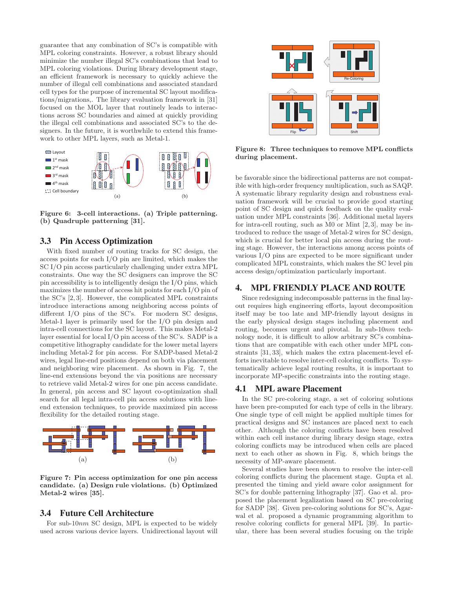guarantee that any combination of SC's is compatible with MPL coloring constraints. However, a robust library should minimize the number illegal SC's combinations that lead to MPL coloring violations. During library development stage, an efficient framework is necessary to quickly achieve the number of illegal cell combinations and associated standard cell types for the purpose of incremental SC layout modifications/migrations,. The library evaluation framework in [31] focused on the MOL layer that routinely leads to interactions across SC boundaries and aimed at quickly providing the illegal cell combinations and associated SC's to the designers. In the future, it is worthwhile to extend this framework to other MPL layers, such as Metal-1.



**Figure 6: 3-cell interactions. (a) Triple patterning. (b) Quadruple patterning [31].**

## 3.3 Pin Access Optimization

With fixed number of routing tracks for SC design, the access points for each I/O pin are limited, which makes the SC I/O pin access particularly challenging under extra MPL constraints. One way the SC designers can improve the SC pin accessibility is to intelligently design the I/O pins, which maximizes the number of access hit points for each I/O pin of the SC's [2, 3]. However, the complicated MPL constraints introduce interactions among neighboring access points of different I/O pins of the SC's. For modern SC designs, Metal-1 layer is primarily used for the I/O pin design and intra-cell connections for the SC layout. This makes Metal-2 layer essential for local I/O pin access of the SC's. SADP is a competitive lithography candidate for the lower metal layers including Metal-2 for pin access. For SADP-based Metal-2 wires, legal line-end positions depend on both via placement and neighboring wire placement. As shown in Fig. 7, the line-end extensions beyond the via positions are necessary to retrieve valid Metal-2 wires for one pin access candidate. In general, pin access and SC layout co-optimization shall search for all legal intra-cell pin access solutions with lineend extension techniques, to provide maximized pin access flexibility for the detailed routing stage.



**Figure 7: Pin access optimization for one pin access candidate. (a) Design rule violations. (b) Optimized Metal-2 wires [35].**

#### 3.4 Future Cell Architecture

For sub-10nm SC design, MPL is expected to be widely used across various device layers. Unidirectional layout will



**Figure 8: Three techniques to remove MPL conflicts during placement.**

be favorable since the bidirectional patterns are not compatible with high-order frequency multiplication, such as SAQP. A systematic library regularity design and robustness evaluation framework will be crucial to provide good starting point of SC design and quick feedback on the quality evaluation under MPL constraints [36]. Additional metal layers for intra-cell routing, such as  $M0$  or Mint  $[2,3]$ , may be introduced to reduce the usage of Metal-2 wires for SC design, which is crucial for better local pin access during the routing stage. However, the interactions among access points of various I/O pins are expected to be more significant under complicated MPL constraints, which makes the SC level pin access design/optimization particularly important.

#### 4. MPL FRIENDLY PLACE AND ROUTE

Since redesigning indecomposable patterns in the final layout requires high engineering efforts, layout decomposition itself may be too late and MP-friendly layout designs in the early physical design stages including placement and routing, becomes urgent and pivotal. In sub-10nm technology node, it is difficult to allow arbitrary SC's combinations that are compatible with each other under MPL constraints [31, 33], which makes the extra placement-level efforts inevitable to resolve inter-cell coloring conflicts. To systematically achieve legal routing results, it is important to incorporate MP-specific constraints into the routing stage.

#### 4.1 MPL aware Placement

In the SC pre-coloring stage, a set of coloring solutions have been pre-computed for each type of cells in the library. One single type of cell might be applied multiple times for practical designs and SC instances are placed next to each other. Although the coloring conflicts have been resolved within each cell instance during library design stage, extra coloring conflicts may be introduced when cells are placed next to each other as shown in Fig. 8, which brings the necessity of MP-aware placement.

Several studies have been shown to resolve the inter-cell coloring conflicts during the placement stage. Gupta et al. presented the timing and yield aware color assignment for SC's for double patterning lithography [37]. Gao et al. proposed the placement legalization based on SC pre-coloring for SADP [38]. Given pre-coloring solutions for SC's, Agarwal et al. proposed a dynamic programming algorithm to resolve coloring conflicts for general MPL [39]. In particular, there has been several studies focusing on the triple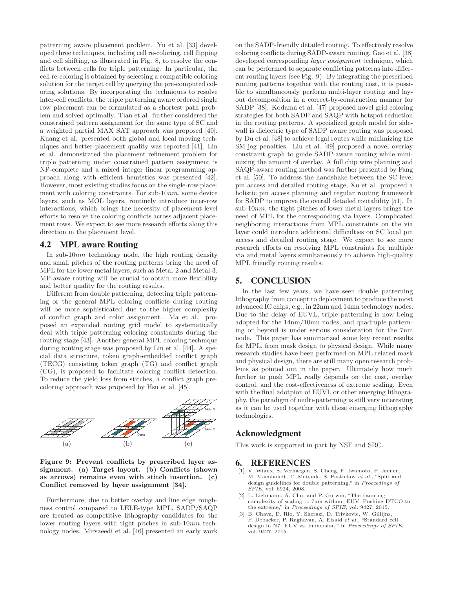patterning aware placement problem. Yu et al. [33] developed three techniques, including cell re-coloring, cell flipping and cell shifting, as illustrated in Fig. 8, to resolve the conflicts between cells for triple patterning. In particular, the cell re-coloring is obtained by selecting a compatible coloring solution for the target cell by querying the pre-computed coloring solutions. By incorporating the techniques to resolve inter-cell conflicts, the triple patterning aware ordered single row placement can be formulated as a shortest path problem and solved optimally. Tian et al. further considered the constrained pattern assignment for the same type of SC and a weighted partial MAX SAT approach was proposed [40]. Kuang et al. presented both global and local moving techniques and better placement quality was reported [41]. Lin et al. demonstrated the placement refinement problem for triple patterning under constrained pattern assignment is NP-complete and a mixed integer linear programming approach along with efficient heuristics was presented [42]. However, most existing studies focus on the single-row placement with coloring constraints. For sub-10nm, some device layers, such as MOL layers, routinely introduce inter-row interactions, which brings the necessity of placement-level efforts to resolve the coloring conflicts across adjacent placement rows. We expect to see more research efforts along this direction in the placement level.

#### 4.2 MPL aware Routing

In sub- $10nm$  technology node, the high routing density and small pitches of the routing patterns bring the need of MPL for the lower metal layers, such as Metal-2 and Metal-3. MP-aware routing will be crucial to obtain more flexibility and better quality for the routing results.

Different from double patterning, detecting triple patterning or the general MPL coloring conflicts during routing will be more sophisticated due to the higher complexity of conflict graph and color assignment. Ma et al. proposed an expanded routing grid model to systematically deal with triple patterning coloring constraints during the routing stage [43]. Another general MPL coloring technique during routing stage was proposed by Lin et al. [44]. A special data structure, token graph-embedded conflict graph (TECG) consisting token graph (TG) and conflict graph (CG), is proposed to facilitate coloring conflict detection. To reduce the yield loss from stitches, a conflict graph precoloring approach was proposed by Hsu et al. [45].



**Figure 9: Prevent conflicts by prescribed layer assignment. (a) Target layout. (b) Conflicts (shown as arrows) remains even with stitch insertion. (c) Conflict removed by layer assignment [34].**

Furthermore, due to better overlay and line edge roughness control compared to LELE-type MPL, SADP/SAQP are treated as competitive lithography candidates for the lower routing layers with tight pitches in sub-10nm technology nodes. Mirsaeedi et al. [46] presented an early work

on the SADP-friendly detailed routing. To effectively resolve coloring conflicts during SADP-aware routing, Gao et al. [38] developed corresponding *layer assignment* technique, which can be performed to separate conflicting patterns into different routing layers (see Fig. 9). By integrating the prescribed routing patterns together with the routing cost, it is possible to simultaneously perform multi-layer routing and layout decomposition in a correct-by-construction manner for SADP [38]. Kodama et al. [47] proposed novel grid coloring strategies for both SADP and SAQP with hotspot reduction in the routing patterns. A specialized graph model for sidewall is dielectric type of SADP aware routing was proposed by Du et al. [48] to achieve legal routes while minimizing the SM-jog penalties. Liu et al. [49] proposed a novel overlay constraint graph to guide SADP-aware routing while minimizing the amount of overlay. A full chip wire planning and SAQP-aware routing method was further presented by Fang et al. [50]. To address the handshake between the SC level pin access and detailed routing stage, Xu et al. proposed a holistic pin access planning and regular routing framework for SADP to improve the overall detailed routability [51]. In sub-10 $nm$ , the tight pitches of lower metal layers brings the need of MPL for the corresponding via layers. Complicated neighboring interactions from MPL constraints on the via layer could introduce additional difficulties on SC local pin access and detailed routing stage. We expect to see more research efforts on resolving MPL constraints for multiple via and metal layers simultaneously to achieve high-quality MPL friendly routing results.

# 5. CONCLUSION

In the last few years, we have seen double patterning lithography from concept to deployment to produce the most advanced IC chips, e.g., in 22nm and 14nm technology nodes. Due to the delay of EUVL, triple patterning is now being adopted for the 14nm/10nm nodes, and quadruple patterning or beyond is under serious consideration for the 7nm node. This paper has summarized some key recent results for MPL, from mask design to physical design. While many research studies have been performed on MPL related mask and physical design, there are still many open research problems as pointed out in the paper. Ultimately how much further to push MPL really depends on the cost, overlay control, and the cost-effectiveness of extreme scaling. Even with the final adotpion of EUVL or other emerging lithography, the paradigm of multi-patterning is still very interesting as it can be used together with these emerging lithography technologies.

## Acknowledgment

This work is supported in part by NSF and SRC.

#### 6. REFERENCES

- [1] V. Wiaux, S. Verhaegen, S. Cheng, F. Iwamoto, P. Jaenen, M. Maenhoudt, T. Matsuda, S. Postnikov et al., "Split and design guidelines for double patterning," in Proceedings of SPIE, vol. 6924, 2008.
- [2] L. Liebmann, A. Chu, and P. Gutwin, "The daunting complexity of scaling to 7nm without EUV: Pushing DTCO to the extreme," in Proceedings of SPIE, vol. 9427, 2015.
- [3] B. Chava, D. Rio, Y. Sherazi, D. Trivkovic, W. Gillijns, P. Debacker, P. Raghavan, A. Elsaid et al., "Standard cell design in N7: EUV vs. immersion," in Proceedings of SPIE, vol. 9427, 2015.